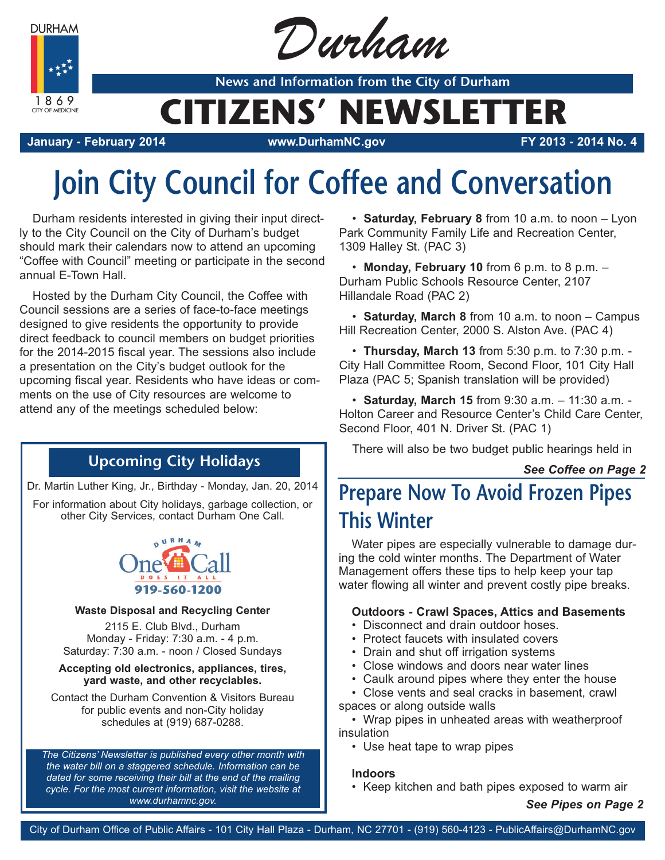**DURHAM** 



Durham

**News and Information from the City of Durham**

## **CITIZENS' NEWSLETTER**

**January - February 2014 www.DurhamNC.gov FY 2013 - 2014 No. 4**

# **Join City Council for Coffee and Conversation**

Durham residents interested in giving their input directly to the City Council on the City of Durham's budget should mark their calendars now to attend an upcoming "Coffee with Council" meeting or participate in the second annual E-Town Hall.

Hosted by the Durham City Council, the Coffee with Council sessions are a series of face-to-face meetings designed to give residents the opportunity to provide direct feedback to council members on budget priorities for the 2014-2015 fiscal year. The sessions also include a presentation on the City's budget outlook for the upcoming fiscal year. Residents who have ideas or comments on the use of City resources are welcome to attend any of the meetings scheduled below:

### **Upcoming City Holidays**

Dr. Martin Luther King, Jr., Birthday - Monday, Jan. 20, 2014

For information about City holidays, garbage collection, or other City Services, contact Durham One Call.



### **Waste Disposal and Recycling Center**

2115 E. Club Blvd., Durham Monday - Friday: 7:30 a.m. - 4 p.m. Saturday: 7:30 a.m. - noon / Closed Sundays

#### **Accepting old electronics, appliances, tires, yard waste, and other recyclables.**

Contact the Durham Convention & Visitors Bureau for public events and non-City holiday schedules at (919) 687-0288.

*The Citizens' Newsletter is published every other month with the water bill on a staggered schedule. Information can be dated for some receiving their bill at the end of the mailing cycle. For the most current information, visit the website at www.durhamnc.gov.*

• **Saturday, February 8** from 10 a.m. to noon – Lyon Park Community Family Life and Recreation Center, 1309 Halley St. (PAC 3)

• **Monday, February 10** from 6 p.m. to 8 p.m. – Durham Public Schools Resource Center, 2107 Hillandale Road (PAC 2)

• **Saturday, March 8** from 10 a.m. to noon – Campus Hill Recreation Center, 2000 S. Alston Ave. (PAC 4)

• **Thursday, March 13** from 5:30 p.m. to 7:30 p.m. - City Hall Committee Room, Second Floor, 101 City Hall Plaza (PAC 5; Spanish translation will be provided)

• **Saturday, March 15** from 9:30 a.m. – 11:30 a.m. - Holton Career and Resource Center's Child Care Center, Second Floor, 401 N. Driver St. (PAC 1)

There will also be two budget public hearings held in

*See Coffee on Page 2*

## **Prepare Now To Avoid Frozen Pipes This Winter**

Water pipes are especially vulnerable to damage during the cold winter months. The Department of Water Management offers these tips to help keep your tap water flowing all winter and prevent costly pipe breaks.

### **Outdoors - Crawl Spaces, Attics and Basements**

- Disconnect and drain outdoor hoses.
- Protect faucets with insulated covers
- Drain and shut off irrigation systems
- Close windows and doors near water lines
- Caulk around pipes where they enter the house
- Close vents and seal cracks in basement, crawl spaces or along outside walls
- Wrap pipes in unheated areas with weatherproof insulation
	- Use heat tape to wrap pipes

### **Indoors**

• Keep kitchen and bath pipes exposed to warm air

*See Pipes on Page 2*